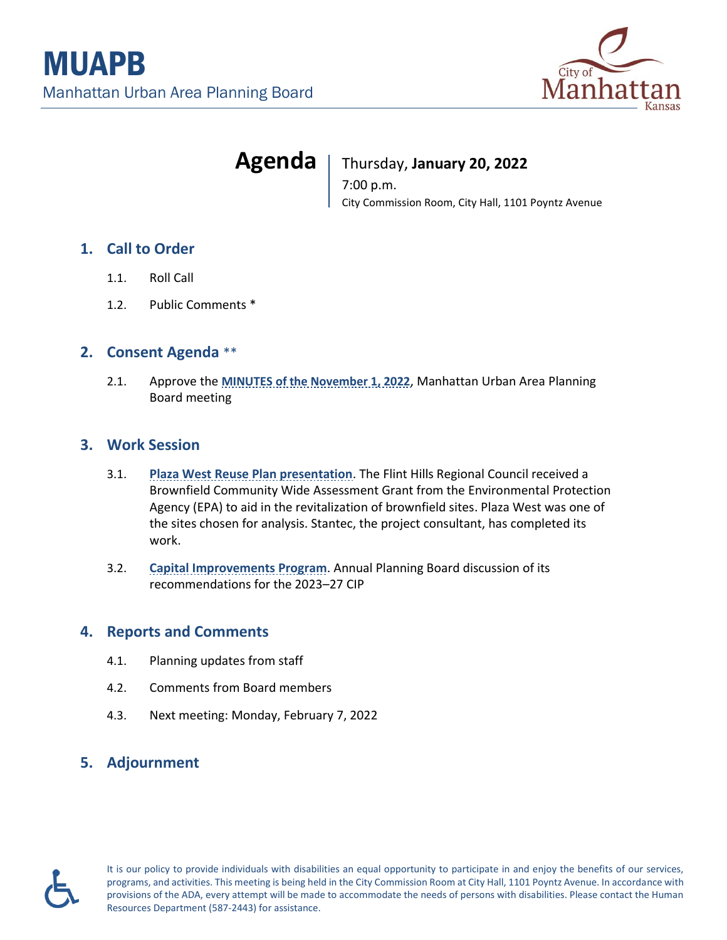

# **Agenda** | Thursday, January 20, 2022

7:00 p.m. City Commission Room, City Hall, 1101 Poyntz Avenue

### **1. Call to Order**

- 1.1. Roll Call
- 1.2. Public Comments \*

#### **2. Consent Agenda** \*\*

2.1. Approve the **MINUTES [of the November 1, 2022](https://cityofmhk.com/DocumentCenter/View/64416/21__Minutes_pb_2021-11-01)**, Manhattan Urban Area Planning Board meeting

#### **3. Work Session**

- 3.1. **Plaza West Reuse [Plan presentation](https://cityofmhk.com/DocumentCenter/View/64414/31_Memo_Plaza-West-Areawide-Study)**. The Flint Hills Regional Council received a Brownfield Community Wide Assessment Grant from the Environmental Protection Agency (EPA) to aid in the revitalization of brownfield sites. Plaza West was one of the sites chosen for analysis. Stantec, the project consultant, has completed its work.
- 3.2. **[Capital Improvements Program](https://cityofmhk.com/DocumentCenter/View/64415/32_Memo_-annual-CIP-recommendations)**. Annual Planning Board discussion of its recommendations for the 2023–27 CIP

#### **4. Reports and Comments**

- 4.1. Planning updates from staff
- 4.2. Comments from Board members
- 4.3. Next meeting: Monday, February 7, 2022

## **5. Adjournment**



It is our policy to provide individuals with disabilities an equal opportunity to participate in and enjoy the benefits of our services, programs, and activities. This meeting is being held in the City Commission Room at City Hall, 1101 Poyntz Avenue. In accordance with provisions of the ADA, every attempt will be made to accommodate the needs of persons with disabilities. Please contact the Human Resources Department (587-2443) for assistance.